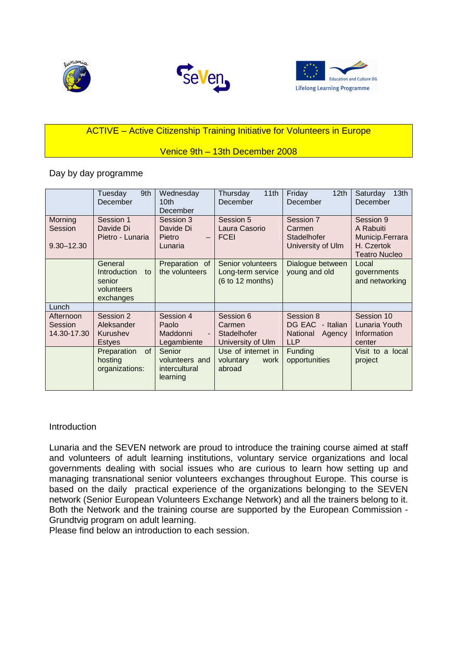





# ACTIVE – Active Citizenship Training Initiative for Volunteers in Europe

# Venice 9th – 13th December 2008

Day by day programme

|                                      | Tuesday<br>9th<br>December                                                | Wednesday<br>10 <sub>th</sub><br>December                        | Thursday<br>11th<br>December                               | Friday<br>12 <sub>th</sub><br>December                               | Saturday<br>13 <sub>th</sub><br>December                                        |
|--------------------------------------|---------------------------------------------------------------------------|------------------------------------------------------------------|------------------------------------------------------------|----------------------------------------------------------------------|---------------------------------------------------------------------------------|
| Morning<br>Session<br>$9.30 - 12.30$ | Session 1<br>Davide Di<br>Pietro - Lunaria                                | Session 3<br>Davide Di<br>Pietro<br>$\qquad \qquad -$<br>Lunaria | Session 5<br>Laura Casorio<br><b>FCEI</b>                  | Session 7<br>Carmen<br><b>Stadelhofer</b><br>University of Ulm       | Session 9<br>A Rabuiti<br>Municip.Ferrara<br>H. Czertok<br><b>Teatro Nucleo</b> |
|                                      | General<br><i>Introduction</i><br>to<br>senior<br>volunteers<br>exchanges | Preparation of<br>the volunteers                                 | Senior volunteers<br>Long-term service<br>(6 to 12 months) | Dialogue between<br>young and old                                    | Local<br>governments<br>and networking                                          |
| Lunch                                |                                                                           |                                                                  |                                                            |                                                                      |                                                                                 |
| Afternoon<br>Session<br>14.30-17.30  | Session 2<br>Aleksander<br>Kurushev<br><b>Estyes</b>                      | Session 4<br>Paolo<br>Maddonni<br>Legambiente                    | Session 6<br>Carmen<br>Stadelhofer<br>University of Ulm    | Session 8<br>DG EAC<br>- Italian<br>National<br>Agency<br><b>LLP</b> | Session 10<br>Lunaria Youth<br>Information<br>center                            |
|                                      | of<br>Preparation<br>hosting<br>organizations:                            | Senior<br>volunteers and<br>intercultural<br>learning            | Use of internet in<br>voluntary<br>work<br>abroad          | <b>Funding</b><br>opportunities                                      | Visit to a local<br>project                                                     |

# Introduction

Lunaria and the SEVEN network are proud to introduce the training course aimed at staff and volunteers of adult learning institutions, voluntary service organizations and local governments dealing with social issues who are curious to learn how setting up and managing transnational senior volunteers exchanges throughout Europe. This course is based on the daily practical experience of the organizations belonging to the SEVEN network (Senior European Volunteers Exchange Network) and all the trainers belong to it. Both the Network and the training course are supported by the European Commission - Grundtvig program on adult learning.

Please find below an introduction to each session.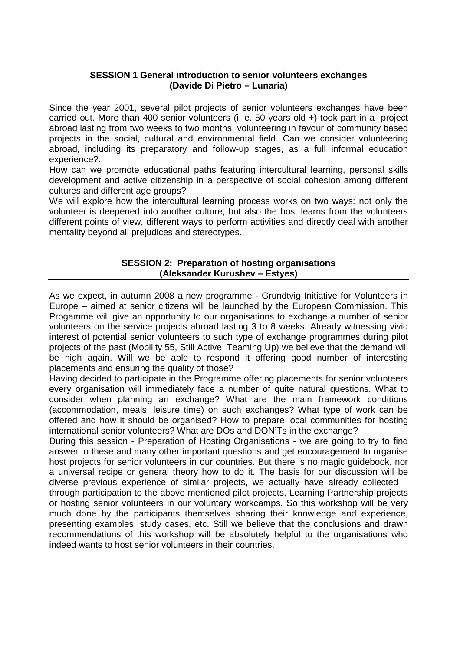# **SESSION 1 General introduction to senior volunteers exchanges (Davide Di Pietro – Lunaria)**

Since the year 2001, several pilot projects of senior volunteers exchanges have been carried out. More than 400 senior volunteers (i. e. 50 years old +) took part in a project abroad lasting from two weeks to two months, volunteering in favour of community based projects in the social, cultural and environmental field. Can we consider volunteering abroad, including its preparatory and follow-up stages, as a full informal education experience?.

How can we promote educational paths featuring intercultural learning, personal skills development and active citizenship in a perspective of social cohesion among different cultures and different age groups?

We will explore how the intercultural learning process works on two ways: not only the volunteer is deepened into another culture, but also the host learns from the volunteers different points of view, different ways to perform activities and directly deal with another mentality beyond all prejudices and stereotypes.

## **SESSION 2: Preparation of hosting organisations (Aleksander Kurushev – Estyes)**

As we expect, in autumn 2008 a new programme - Grundtvig Initiative for Volunteers in Europe – aimed at senior citizens will be launched by the European Commission. This Progamme will give an opportunity to our organisations to exchange a number of senior volunteers on the service projects abroad lasting 3 to 8 weeks. Already witnessing vivid interest of potential senior volunteers to such type of exchange programmes during pilot projects of the past (Mobility 55, Still Active, Teaming Up) we believe that the demand will be high again. Will we be able to respond it offering good number of interesting placements and ensuring the quality of those?

Having decided to participate in the Programme offering placements for senior volunteers every organisation will immediately face a number of quite natural questions. What to consider when planning an exchange? What are the main framework conditions (accommodation, meals, leisure time) on such exchanges? What type of work can be offered and how it should be organised? How to prepare local communities for hosting international senior volunteers? What are DOs and DON'Ts in the exchange?

During this session - Preparation of Hosting Organisations - we are going to try to find answer to these and many other important questions and get encouragement to organise host projects for senior volunteers in our countries. But there is no magic guidebook, nor a universal recipe or general theory how to do it. The basis for our discussion will be diverse previous experience of similar projects, we actually have already collected – through participation to the above mentioned pilot projects, Learning Partnership projects or hosting senior volunteers in our voluntary workcamps. So this workshop will be very much done by the participants themselves sharing their knowledge and experience, presenting examples, study cases, etc. Still we believe that the conclusions and drawn recommendations of this workshop will be absolutely helpful to the organisations who indeed wants to host senior volunteers in their countries.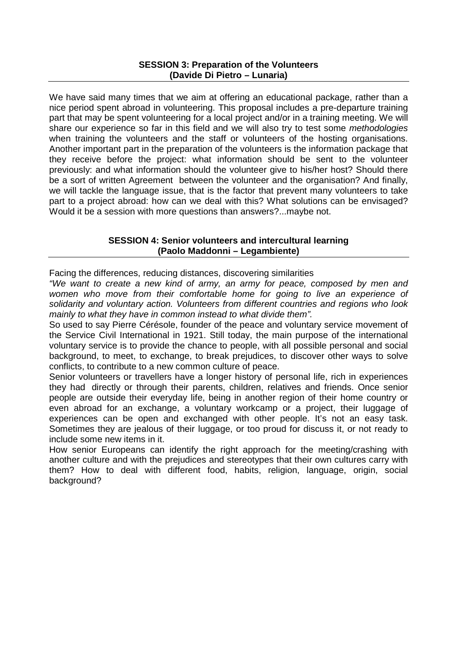## **SESSION 3: Preparation of the Volunteers (Davide Di Pietro – Lunaria)**

We have said many times that we aim at offering an educational package, rather than a nice period spent abroad in volunteering. This proposal includes a pre-departure training part that may be spent volunteering for a local project and/or in a training meeting. We will share our experience so far in this field and we will also try to test some *methodologies* when training the volunteers and the staff or volunteers of the hosting organisations. Another important part in the preparation of the volunteers is the information package that they receive before the project: what information should be sent to the volunteer previously: and what information should the volunteer give to his/her host? Should there be a sort of written Agreement between the volunteer and the organisation? And finally, we will tackle the language issue, that is the factor that prevent many volunteers to take part to a project abroad: how can we deal with this? What solutions can be envisaged? Would it be a session with more questions than answers?...maybe not.

# **SESSION 4: Senior volunteers and intercultural learning (Paolo Maddonni – Legambiente)**

Facing the differences, reducing distances, discovering similarities

"We want to create a new kind of army, an army for peace, composed by men and women who move from their comfortable home for going to live an experience of solidarity and voluntary action. Volunteers from different countries and regions who look mainly to what they have in common instead to what divide them".

So used to say Pierre Cérésole, founder of the peace and voluntary service movement of the Service Civil International in 1921. Still today, the main purpose of the international voluntary service is to provide the chance to people, with all possible personal and social background, to meet, to exchange, to break prejudices, to discover other ways to solve conflicts, to contribute to a new common culture of peace.

Senior volunteers or travellers have a longer history of personal life, rich in experiences they had directly or through their parents, children, relatives and friends. Once senior people are outside their everyday life, being in another region of their home country or even abroad for an exchange, a voluntary workcamp or a project, their luggage of experiences can be open and exchanged with other people. It's not an easy task. Sometimes they are jealous of their luggage, or too proud for discuss it, or not ready to include some new items in it.

How senior Europeans can identify the right approach for the meeting/crashing with another culture and with the prejudices and stereotypes that their own cultures carry with them? How to deal with different food, habits, religion, language, origin, social background?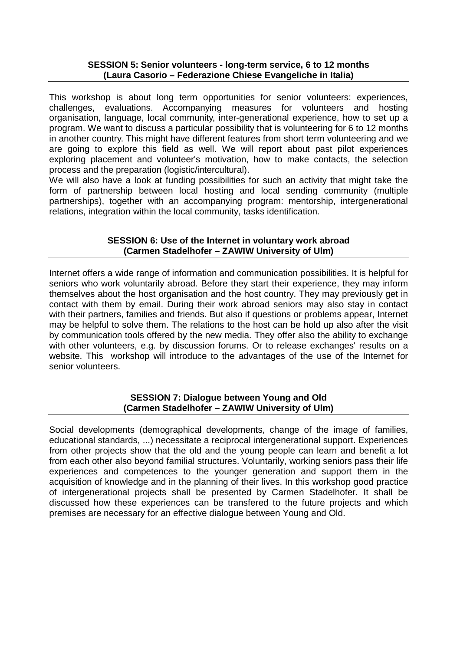#### **SESSION 5: Senior volunteers - long-term service, 6 to 12 months (Laura Casorio – Federazione Chiese Evangeliche in Italia)**

This workshop is about long term opportunities for senior volunteers: experiences, challenges, evaluations. Accompanying measures for volunteers and hosting organisation, language, local community, inter-generational experience, how to set up a program. We want to discuss a particular possibility that is volunteering for 6 to 12 months in another country. This might have different features from short term volunteering and we are going to explore this field as well. We will report about past pilot experiences exploring placement and volunteer's motivation, how to make contacts, the selection process and the preparation (logistic/intercultural).

We will also have a look at funding possibilities for such an activity that might take the form of partnership between local hosting and local sending community (multiple partnerships), together with an accompanying program: mentorship, intergenerational relations, integration within the local community, tasks identification.

# **SESSION 6: Use of the Internet in voluntary work abroad (Carmen Stadelhofer – ZAWIW University of Ulm)**

Internet offers a wide range of information and communication possibilities. It is helpful for seniors who work voluntarily abroad. Before they start their experience, they may inform themselves about the host organisation and the host country. They may previously get in contact with them by email. During their work abroad seniors may also stay in contact with their partners, families and friends. But also if questions or problems appear, Internet may be helpful to solve them. The relations to the host can be hold up also after the visit by communication tools offered by the new media. They offer also the ability to exchange with other volunteers, e.g. by discussion forums. Or to release exchanges' results on a website. This workshop will introduce to the advantages of the use of the Internet for senior volunteers.

### **SESSION 7: Dialogue between Young and Old (Carmen Stadelhofer – ZAWIW University of Ulm)**

Social developments (demographical developments, change of the image of families, educational standards, ...) necessitate a reciprocal intergenerational support. Experiences from other projects show that the old and the young people can learn and benefit a lot from each other also beyond familial structures. Voluntarily, working seniors pass their life experiences and competences to the younger generation and support them in the acquisition of knowledge and in the planning of their lives. In this workshop good practice of intergenerational projects shall be presented by Carmen Stadelhofer. It shall be discussed how these experiences can be transfered to the future projects and which premises are necessary for an effective dialogue between Young and Old.